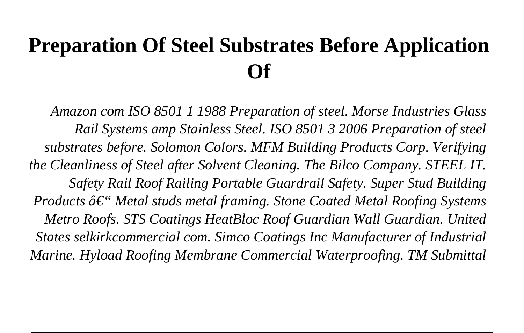# **Preparation Of Steel Substrates Before Application Of**

*Amazon com ISO 8501 1 1988 Preparation of steel. Morse Industries Glass Rail Systems amp Stainless Steel. ISO 8501 3 2006 Preparation of steel substrates before. Solomon Colors. MFM Building Products Corp. Verifying the Cleanliness of Steel after Solvent Cleaning. The Bilco Company. STEEL IT. Safety Rail Roof Railing Portable Guardrail Safety. Super Stud Building Products*  $\hat{a} \in \mathcal{C}$  *Metal studs metal framing. Stone Coated Metal Roofing Systems Metro Roofs. STS Coatings HeatBloc Roof Guardian Wall Guardian. United States selkirkcommercial com. Simco Coatings Inc Manufacturer of Industrial Marine. Hyload Roofing Membrane Commercial Waterproofing. TM Submittal*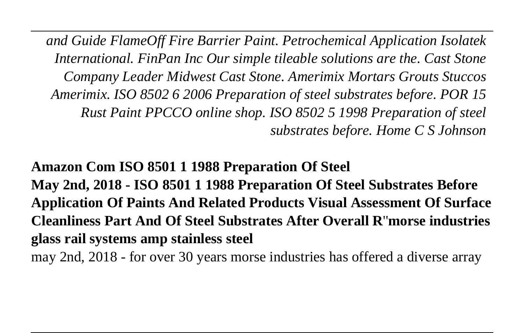*and Guide FlameOff Fire Barrier Paint. Petrochemical Application Isolatek International. FinPan Inc Our simple tileable solutions are the. Cast Stone Company Leader Midwest Cast Stone. Amerimix Mortars Grouts Stuccos Amerimix. ISO 8502 6 2006 Preparation of steel substrates before. POR 15 Rust Paint PPCCO online shop. ISO 8502 5 1998 Preparation of steel substrates before. Home C S Johnson*

**Amazon Com ISO 8501 1 1988 Preparation Of Steel May 2nd, 2018 - ISO 8501 1 1988 Preparation Of Steel Substrates Before Application Of Paints And Related Products Visual Assessment Of Surface Cleanliness Part And Of Steel Substrates After Overall R**''**morse industries glass rail systems amp stainless steel**

may 2nd, 2018 - for over 30 years morse industries has offered a diverse array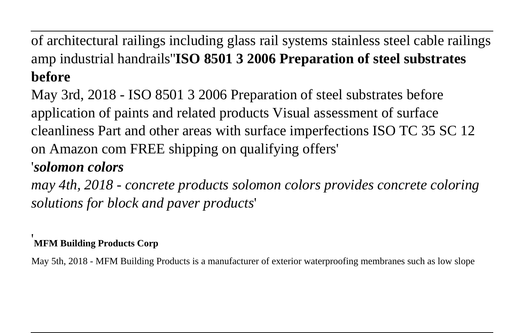of architectural railings including glass rail systems stainless steel cable railings amp industrial handrails''**ISO 8501 3 2006 Preparation of steel substrates before**

May 3rd, 2018 - ISO 8501 3 2006 Preparation of steel substrates before application of paints and related products Visual assessment of surface cleanliness Part and other areas with surface imperfections ISO TC 35 SC 12 on Amazon com FREE shipping on qualifying offers'

#### '*solomon colors*

*may 4th, 2018 - concrete products solomon colors provides concrete coloring solutions for block and paver products*'

#### '**MFM Building Products Corp**

May 5th, 2018 - MFM Building Products is a manufacturer of exterior waterproofing membranes such as low slope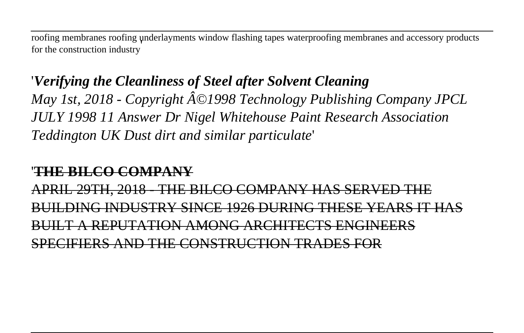roofing membranes roofing underlayments window flashing tapes waterproofing membranes and accessory products for the construction industry'

## '*Verifying the Cleanliness of Steel after Solvent Cleaning May 1st, 2018 - Copyright Â*©1998 Technology Publishing Company JPCL *JULY 1998 11 Answer Dr Nigel Whitehouse Paint Research Association Teddington UK Dust dirt and similar particulate*'

#### '**THE BILCO COMPANY**

APRIL 29TH, 2018 - THE BILCO COMPANY HAS SERVED BUILDING INDUSTRY SINCE 1926 DURING THESE YEARS IT HAS BUILT A REPUTATION AMONG ARCHITECTS ENGINEERS SPECIFIERS AND THE CONSTRUCTION TRADES FOR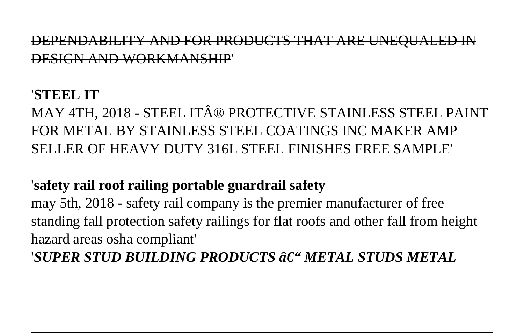DEPENDABILITY AND FOR PRODUCTS THAT ARE UNEQU. SIGN AND WORKMA

#### '**STEEL IT**

MAY 4TH, 2018 - STEEL IT® PROTECTIVE STAINLESS STEEL PAINT FOR METAL BY STAINLESS STEEL COATINGS INC MAKER AMP SELLER OF HEAVY DUTY 316L STEEL FINISHES FREE SAMPLE'

#### '**safety rail roof railing portable guardrail safety**

may 5th, 2018 - safety rail company is the premier manufacturer of free standing fall protection safety railings for flat roofs and other fall from height hazard areas osha compliant'

'*SUPER STUD BUILDING PRODUCTS – METAL STUDS METAL*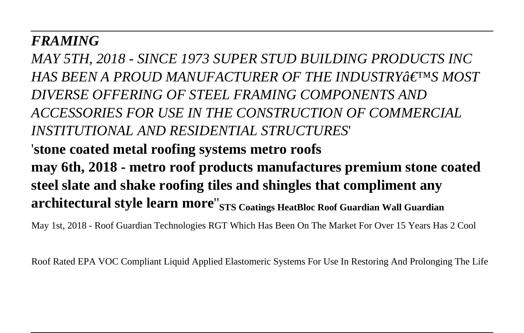#### *FRAMING*

*MAY 5TH, 2018 - SINCE 1973 SUPER STUD BUILDING PRODUCTS INC HAS BEEN A PROUD MANUFACTURER OF THE INDUSTRY'S MOST DIVERSE OFFERING OF STEEL FRAMING COMPONENTS AND ACCESSORIES FOR USE IN THE CONSTRUCTION OF COMMERCIAL INSTITUTIONAL AND RESIDENTIAL STRUCTURES*' '**stone coated metal roofing systems metro roofs may 6th, 2018 - metro roof products manufactures premium stone coated steel slate and shake roofing tiles and shingles that compliment any architectural style learn more**''**STS Coatings HeatBloc Roof Guardian Wall Guardian**

May 1st, 2018 - Roof Guardian Technologies RGT Which Has Been On The Market For Over 15 Years Has 2 Cool

Roof Rated EPA VOC Compliant Liquid Applied Elastomeric Systems For Use In Restoring And Prolonging The Life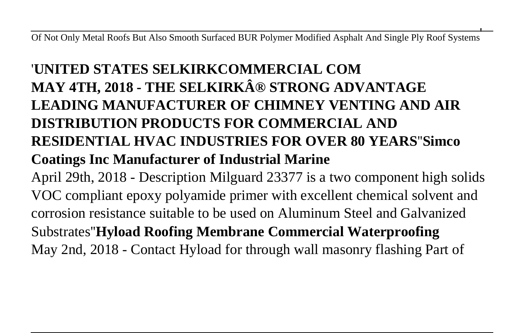Of Not Only Metal Roofs But Also Smooth Surfaced BUR Polymer Modified Asphalt And Single Ply Roof Systems'

# '**UNITED STATES SELKIRKCOMMERCIAL COM MAY 4TH, 2018 - THE SELKIRK® STRONG ADVANTAGE LEADING MANUFACTURER OF CHIMNEY VENTING AND AIR DISTRIBUTION PRODUCTS FOR COMMERCIAL AND RESIDENTIAL HVAC INDUSTRIES FOR OVER 80 YEARS**''**Simco Coatings Inc Manufacturer of Industrial Marine**

April 29th, 2018 - Description Milguard 23377 is a two component high solids VOC compliant epoxy polyamide primer with excellent chemical solvent and corrosion resistance suitable to be used on Aluminum Steel and Galvanized Substrates''**Hyload Roofing Membrane Commercial Waterproofing** May 2nd, 2018 - Contact Hyload for through wall masonry flashing Part of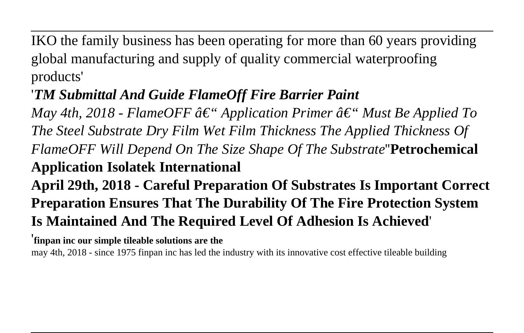IKO the family business has been operating for more than 60 years providing global manufacturing and supply of quality commercial waterproofing products'

## '*TM Submittal And Guide FlameOff Fire Barrier Paint*

*May 4th, 2018 - FlameOFF â* $\epsilon$ " *Application Primer â* $\epsilon$ " *Must Be Applied To The Steel Substrate Dry Film Wet Film Thickness The Applied Thickness Of FlameOFF Will Depend On The Size Shape Of The Substrate*''**Petrochemical Application Isolatek International**

**April 29th, 2018 - Careful Preparation Of Substrates Is Important Correct Preparation Ensures That The Durability Of The Fire Protection System Is Maintained And The Required Level Of Adhesion Is Achieved**'

'**finpan inc our simple tileable solutions are the**

may 4th, 2018 - since 1975 finpan inc has led the industry with its innovative cost effective tileable building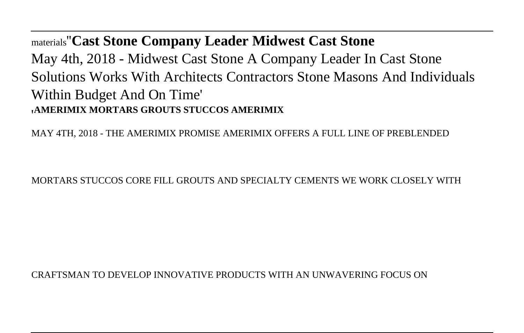materials''**Cast Stone Company Leader Midwest Cast Stone** May 4th, 2018 - Midwest Cast Stone A Company Leader In Cast Stone Solutions Works With Architects Contractors Stone Masons And Individuals Within Budget And On Time' '**AMERIMIX MORTARS GROUTS STUCCOS AMERIMIX**

MAY 4TH, 2018 - THE AMERIMIX PROMISE AMERIMIX OFFERS A FULL LINE OF PREBLENDED

MORTARS STUCCOS CORE FILL GROUTS AND SPECIALTY CEMENTS WE WORK CLOSELY WITH

CRAFTSMAN TO DEVELOP INNOVATIVE PRODUCTS WITH AN UNWAVERING FOCUS ON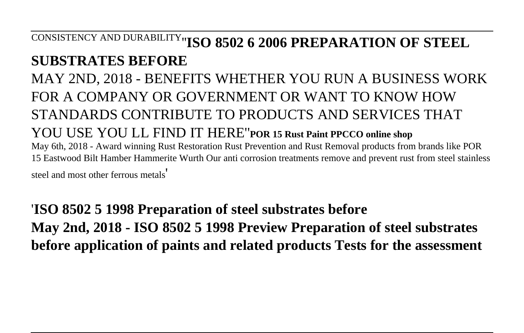# CONSISTENCY AND DURABILITY''**ISO 8502 6 2006 PREPARATION OF STEEL**

### **SUBSTRATES BEFORE**

MAY 2ND, 2018 - BENEFITS WHETHER YOU RUN A BUSINESS WORK FOR A COMPANY OR GOVERNMENT OR WANT TO KNOW HOW STANDARDS CONTRIBUTE TO PRODUCTS AND SERVICES THAT YOU USE YOU LL FIND IT HERE''**POR 15 Rust Paint PPCCO online shop** May 6th, 2018 - Award winning Rust Restoration Rust Prevention and Rust Removal products from brands like POR 15 Eastwood Bilt Hamber Hammerite Wurth Our anti corrosion treatments remove and prevent rust from steel stainless steel and most other ferrous metals'

'**ISO 8502 5 1998 Preparation of steel substrates before May 2nd, 2018 - ISO 8502 5 1998 Preview Preparation of steel substrates before application of paints and related products Tests for the assessment**